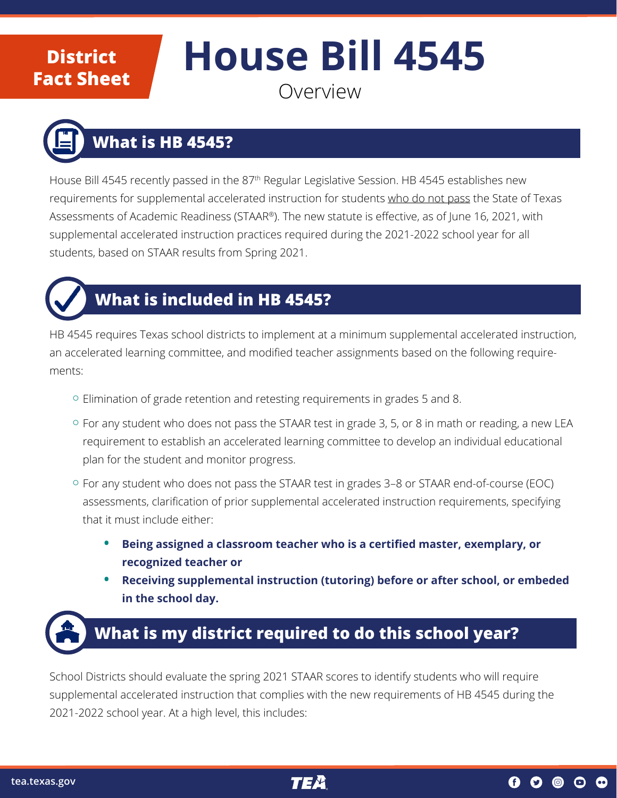#### **District Fact Sheet**

# **House Bill 4545**

#### Overview

# **What is HB 4545?**

House Bill 4545 recently passed in the 87<sup>th</sup> Regular Legislative Session. HB 4545 establishes new requirements for supplemental accelerated instruction for students who do not pass the State of Texas Assessments of Academic Readiness (STAAR®). The new statute is effective, as of June 16, 2021, with supplemental accelerated instruction practices required during the 2021-2022 school year for all students, based on STAAR results from Spring 2021.



#### **What is included in HB 4545?**

HB 4545 requires Texas school districts to implement at a minimum supplemental accelerated instruction, an accelerated learning committee, and modified teacher assignments based on the following requirements:

- ¡ Elimination of grade retention and retesting requirements in grades 5 and 8.
- <sup>o</sup> For any student who does not pass the STAAR test in grade 3, 5, or 8 in math or reading, a new LEA requirement to establish an accelerated learning committee to develop an individual educational plan for the student and monitor progress.
- ¡ For any student who does not pass the STAAR test in grades 3–8 or STAAR end-of-course (EOC) assessments, clarification of prior supplemental accelerated instruction requirements, specifying that it must include either:
	- **• Being assigned a classroom teacher who is a certified master, exemplary, or recognized teacher or**
	- **• Receiving supplemental instruction (tutoring) before or after school, or embeded in the school day.**

## **What is my district required to do this school year?**

School Districts should evaluate the spring 2021 STAAR scores to identify students who will require supplemental accelerated instruction that complies with the new requirements of HB 4545 during the 2021-2022 school year. At a high level, this includes: